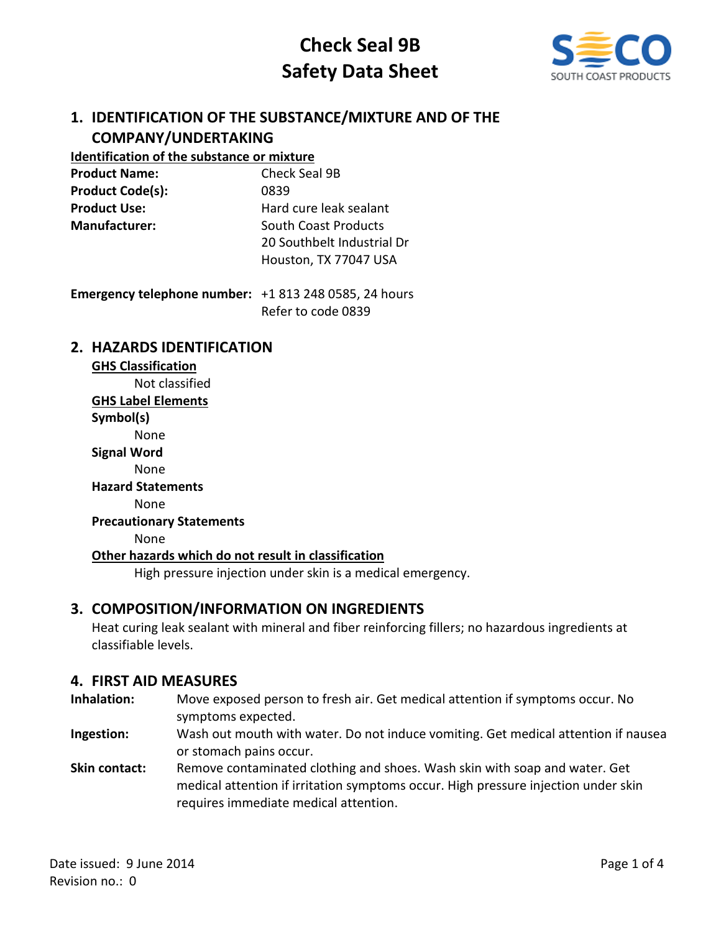

# **1. IDENTIFICATION OF THE SUBSTANCE/MIXTURE AND OF THE COMPANY/UNDERTAKING**

#### **Identification of the substance or mixture**

| <b>Product Name:</b>    | Check Seal 9B               |
|-------------------------|-----------------------------|
| <b>Product Code(s):</b> | 0839                        |
| <b>Product Use:</b>     | Hard cure leak sealant      |
| <b>Manufacturer:</b>    | <b>South Coast Products</b> |
|                         | 20 Southbelt Industrial Dr  |
|                         | Houston, TX 77047 USA       |
|                         |                             |

| Emergency telephone number: +1 813 248 0585, 24 hours |                    |
|-------------------------------------------------------|--------------------|
|                                                       | Refer to code 0839 |

### **2. HAZARDS IDENTIFICATION**

### **GHS Classification** Not classified **GHS Label Elements Symbol(s)** None **Signal Word** None **Hazard Statements** None **Precautionary Statements** None **Other hazards which do not result in classification** High pressure injection under skin is a medical emergency.

# **3. COMPOSITION/INFORMATION ON INGREDIENTS**

Heat curing leak sealant with mineral and fiber reinforcing fillers; no hazardous ingredients at classifiable levels.

# **4. FIRST AID MEASURES**

**Inhalation:** Move exposed person to fresh air. Get medical attention if symptoms occur. No symptoms expected.

**Ingestion:** Wash out mouth with water. Do not induce vomiting. Get medical attention if nausea or stomach pains occur.

**Skin contact:** Remove contaminated clothing and shoes. Wash skin with soap and water. Get medical attention if irritation symptoms occur. High pressure injection under skin requires immediate medical attention.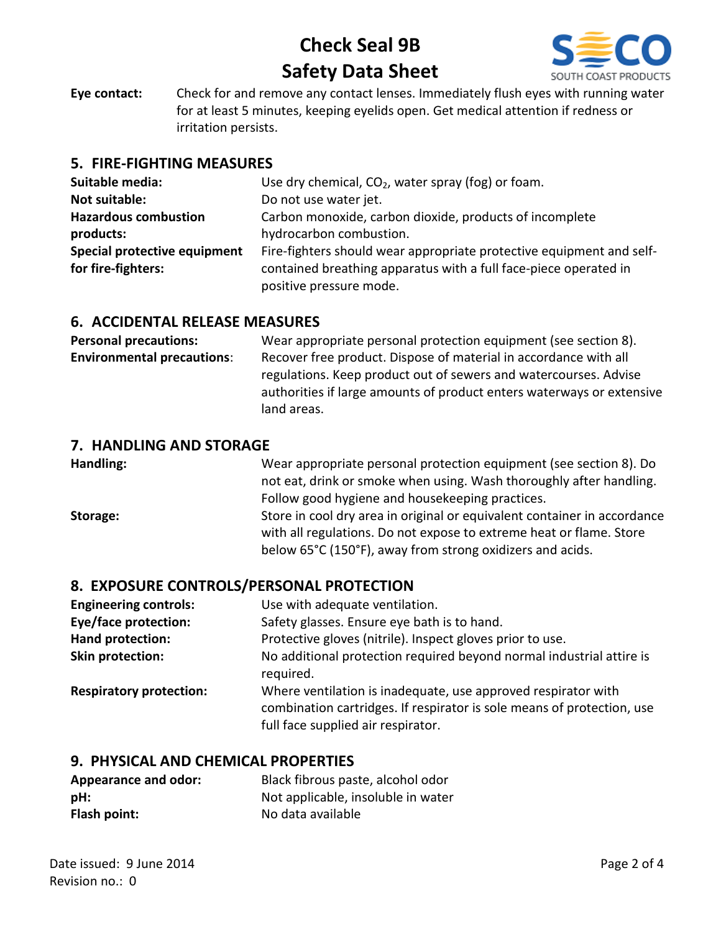

**Eye contact:** Check for and remove any contact lenses. Immediately flush eyes with running water for at least 5 minutes, keeping eyelids open. Get medical attention if redness or irritation persists.

# **5. FIRE-FIGHTING MEASURES**

| Suitable media:              | Use dry chemical, $CO2$ , water spray (fog) or foam.                 |
|------------------------------|----------------------------------------------------------------------|
| Not suitable:                | Do not use water jet.                                                |
| <b>Hazardous combustion</b>  | Carbon monoxide, carbon dioxide, products of incomplete              |
| products:                    | hydrocarbon combustion.                                              |
| Special protective equipment | Fire-fighters should wear appropriate protective equipment and self- |
| for fire-fighters:           | contained breathing apparatus with a full face-piece operated in     |
|                              | positive pressure mode.                                              |

### **6. ACCIDENTAL RELEASE MEASURES**

| <b>Personal precautions:</b>      | Wear appropriate personal protection equipment (see section 8).       |
|-----------------------------------|-----------------------------------------------------------------------|
| <b>Environmental precautions:</b> | Recover free product. Dispose of material in accordance with all      |
|                                   | regulations. Keep product out of sewers and watercourses. Advise      |
|                                   | authorities if large amounts of product enters waterways or extensive |
|                                   | land areas.                                                           |

### **7. HANDLING AND STORAGE**

| Handling: | Wear appropriate personal protection equipment (see section 8). Do       |
|-----------|--------------------------------------------------------------------------|
|           | not eat, drink or smoke when using. Wash thoroughly after handling.      |
|           | Follow good hygiene and housekeeping practices.                          |
| Storage:  | Store in cool dry area in original or equivalent container in accordance |
|           | with all regulations. Do not expose to extreme heat or flame. Store      |
|           | below 65°C (150°F), away from strong oxidizers and acids.                |

# **8. EXPOSURE CONTROLS/PERSONAL PROTECTION**

| <b>Engineering controls:</b>   | Use with adequate ventilation.                                                                                                                                                |
|--------------------------------|-------------------------------------------------------------------------------------------------------------------------------------------------------------------------------|
| <b>Eye/face protection:</b>    | Safety glasses. Ensure eye bath is to hand.                                                                                                                                   |
| Hand protection:               | Protective gloves (nitrile). Inspect gloves prior to use.                                                                                                                     |
| Skin protection:               | No additional protection required beyond normal industrial attire is<br>required.                                                                                             |
| <b>Respiratory protection:</b> | Where ventilation is inadequate, use approved respirator with<br>combination cartridges. If respirator is sole means of protection, use<br>full face supplied air respirator. |

# **9. PHYSICAL AND CHEMICAL PROPERTIES**

| <b>Appearance and odor:</b> | Black fibrous paste, alcohol odor  |
|-----------------------------|------------------------------------|
| pH:                         | Not applicable, insoluble in water |
| Flash point:                | No data available                  |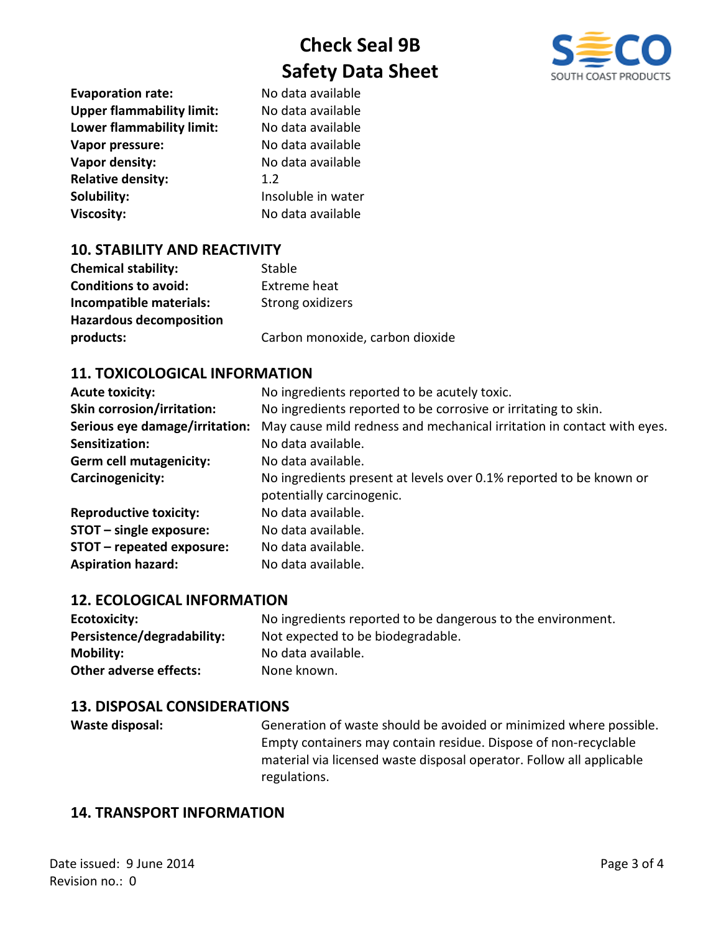

**Evaporation rate:** No data available **Upper flammability limit:** No data available **Lower flammability limit:** No data available **Vapor pressure:** No data available **Vapor density:** No data available **Relative density:** 1.2 **Solubility:** Insoluble in water **Viscosity:** No data available

# **10. STABILITY AND REACTIVITY**

| <b>Chemical stability:</b>     | Stable                          |
|--------------------------------|---------------------------------|
| <b>Conditions to avoid:</b>    | Extreme heat                    |
| Incompatible materials:        | Strong oxidizers                |
| <b>Hazardous decomposition</b> |                                 |
| products:                      | Carbon monoxide, carbon dioxide |

# **11. TOXICOLOGICAL INFORMATION**

| <b>Acute toxicity:</b>            | No ingredients reported to be acutely toxic.                           |
|-----------------------------------|------------------------------------------------------------------------|
| <b>Skin corrosion/irritation:</b> | No ingredients reported to be corrosive or irritating to skin.         |
| Serious eye damage/irritation:    | May cause mild redness and mechanical irritation in contact with eyes. |
| Sensitization:                    | No data available.                                                     |
| <b>Germ cell mutagenicity:</b>    | No data available.                                                     |
| Carcinogenicity:                  | No ingredients present at levels over 0.1% reported to be known or     |
|                                   | potentially carcinogenic.                                              |
| <b>Reproductive toxicity:</b>     | No data available.                                                     |
| STOT - single exposure:           | No data available.                                                     |
| STOT - repeated exposure:         | No data available.                                                     |
| <b>Aspiration hazard:</b>         | No data available.                                                     |

### **12. ECOLOGICAL INFORMATION**

| Ecotoxicity:                  | No ingredients reported to be dangerous to the environment. |
|-------------------------------|-------------------------------------------------------------|
| Persistence/degradability:    | Not expected to be biodegradable.                           |
| <b>Mobility:</b>              | No data available.                                          |
| <b>Other adverse effects:</b> | None known.                                                 |

### **13. DISPOSAL CONSIDERATIONS**

**Waste disposal:** Generation of waste should be avoided or minimized where possible. Empty containers may contain residue. Dispose of non-recyclable material via licensed waste disposal operator. Follow all applicable regulations.

# **14. TRANSPORT INFORMATION**